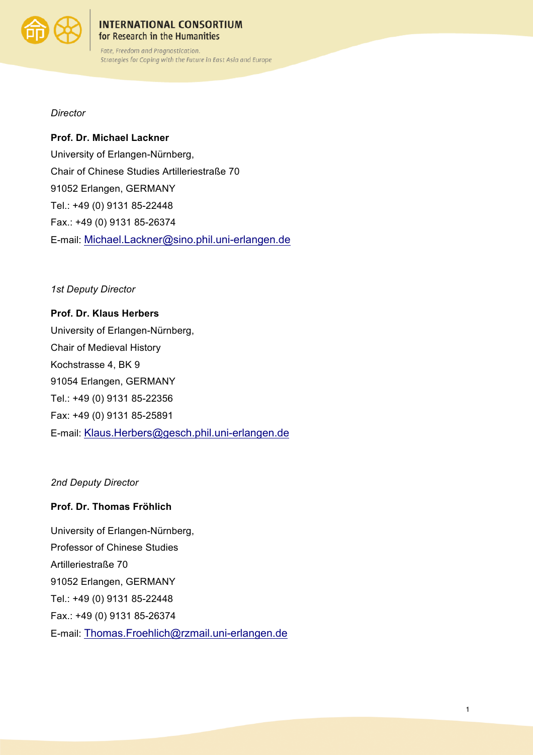

#### **INTERNATIONAL CONSORTIUM** for Research in the Humanities

Fate, Freedom and Prognostication. Strategies for Coping with the Future in East Asia and Europe

*Director*

**Prof. Dr. Michael Lackner** University of Erlangen-Nürnberg, Chair of Chinese Studies Artilleriestraße 70 91052 Erlangen, GERMANY Tel.: +49 (0) 9131 85-22448 Fax.: +49 (0) 9131 85-26374 E-mail: Michael.Lackner@sino.phil.uni-erlangen.de

*1st Deputy Director*

**Prof. Dr. Klaus Herbers** University of Erlangen-Nürnberg, Chair of Medieval History Kochstrasse 4, BK 9 91054 Erlangen, GERMANY Tel.: +49 (0) 9131 85-22356 Fax: +49 (0) 9131 85-25891 E-mail: Klaus.Herbers@gesch.phil.uni-erlangen.de

*2nd Deputy Director*

### **Prof. Dr. Thomas Fröhlich**

University of Erlangen-Nürnberg, Professor of Chinese Studies Artilleriestraße 70 91052 Erlangen, GERMANY Tel.: +49 (0) 9131 85-22448 Fax.: +49 (0) 9131 85-26374 E-mail: Thomas.Froehlich@rzmail.uni-erlangen.de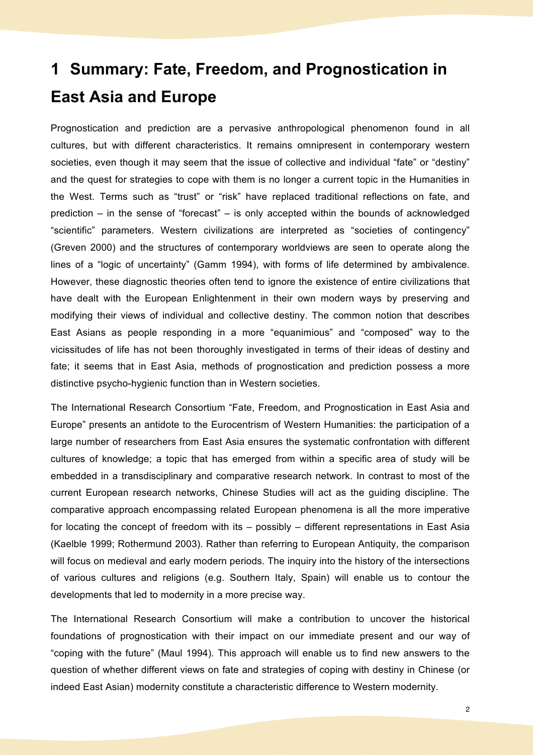# **1 Summary: Fate, Freedom, and Prognostication in East Asia and Europe**

Prognostication and prediction are a pervasive anthropological phenomenon found in all cultures, but with different characteristics. It remains omnipresent in contemporary western societies, even though it may seem that the issue of collective and individual "fate" or "destiny" and the quest for strategies to cope with them is no longer a current topic in the Humanities in the West. Terms such as "trust" or "risk" have replaced traditional reflections on fate, and prediction – in the sense of "forecast" – is only accepted within the bounds of acknowledged "scientific" parameters. Western civilizations are interpreted as "societies of contingency" (Greven 2000) and the structures of contemporary worldviews are seen to operate along the lines of a "logic of uncertainty" (Gamm 1994), with forms of life determined by ambivalence. However, these diagnostic theories often tend to ignore the existence of entire civilizations that have dealt with the European Enlightenment in their own modern ways by preserving and modifying their views of individual and collective destiny. The common notion that describes East Asians as people responding in a more "equanimious" and "composed" way to the vicissitudes of life has not been thoroughly investigated in terms of their ideas of destiny and fate; it seems that in East Asia, methods of prognostication and prediction possess a more distinctive psycho-hygienic function than in Western societies.

The International Research Consortium "Fate, Freedom, and Prognostication in East Asia and Europe" presents an antidote to the Eurocentrism of Western Humanities: the participation of a large number of researchers from East Asia ensures the systematic confrontation with different cultures of knowledge; a topic that has emerged from within a specific area of study will be embedded in a transdisciplinary and comparative research network. In contrast to most of the current European research networks, Chinese Studies will act as the guiding discipline. The comparative approach encompassing related European phenomena is all the more imperative for locating the concept of freedom with its – possibly – different representations in East Asia (Kaelble 1999; Rothermund 2003). Rather than referring to European Antiquity, the comparison will focus on medieval and early modern periods. The inquiry into the history of the intersections of various cultures and religions (e.g. Southern Italy, Spain) will enable us to contour the developments that led to modernity in a more precise way.

The International Research Consortium will make a contribution to uncover the historical foundations of prognostication with their impact on our immediate present and our way of "coping with the future" (Maul 1994). This approach will enable us to find new answers to the question of whether different views on fate and strategies of coping with destiny in Chinese (or indeed East Asian) modernity constitute a characteristic difference to Western modernity.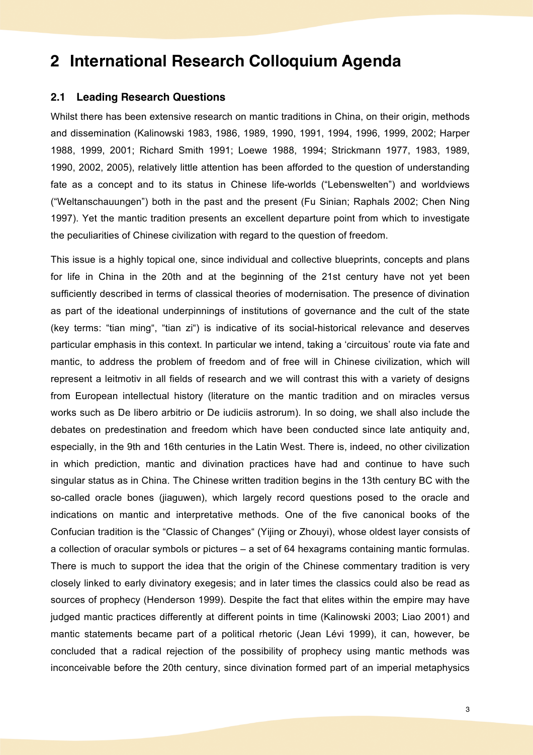# **2 International Research Colloquium Agenda**

#### **2.1 Leading Research Questions**

Whilst there has been extensive research on mantic traditions in China, on their origin, methods and dissemination (Kalinowski 1983, 1986, 1989, 1990, 1991, 1994, 1996, 1999, 2002; Harper 1988, 1999, 2001; Richard Smith 1991; Loewe 1988, 1994; Strickmann 1977, 1983, 1989, 1990, 2002, 2005), relatively little attention has been afforded to the question of understanding fate as a concept and to its status in Chinese life-worlds ("Lebenswelten") and worldviews ("Weltanschauungen") both in the past and the present (Fu Sinian; Raphals 2002; Chen Ning 1997). Yet the mantic tradition presents an excellent departure point from which to investigate the peculiarities of Chinese civilization with regard to the question of freedom.

This issue is a highly topical one, since individual and collective blueprints, concepts and plans for life in China in the 20th and at the beginning of the 21st century have not yet been sufficiently described in terms of classical theories of modernisation. The presence of divination as part of the ideational underpinnings of institutions of governance and the cult of the state (key terms: "tian ming", "tian zi") is indicative of its social-historical relevance and deserves particular emphasis in this context. In particular we intend, taking a 'circuitous' route via fate and mantic, to address the problem of freedom and of free will in Chinese civilization, which will represent a leitmotiv in all fields of research and we will contrast this with a variety of designs from European intellectual history (literature on the mantic tradition and on miracles versus works such as De libero arbitrio or De iudiciis astrorum). In so doing, we shall also include the debates on predestination and freedom which have been conducted since late antiquity and, especially, in the 9th and 16th centuries in the Latin West. There is, indeed, no other civilization in which prediction, mantic and divination practices have had and continue to have such singular status as in China. The Chinese written tradition begins in the 13th century BC with the so-called oracle bones (jiaguwen), which largely record questions posed to the oracle and indications on mantic and interpretative methods. One of the five canonical books of the Confucian tradition is the "Classic of Changes" (Yijing or Zhouyi), whose oldest layer consists of a collection of oracular symbols or pictures – a set of 64 hexagrams containing mantic formulas. There is much to support the idea that the origin of the Chinese commentary tradition is very closely linked to early divinatory exegesis; and in later times the classics could also be read as sources of prophecy (Henderson 1999). Despite the fact that elites within the empire may have judged mantic practices differently at different points in time (Kalinowski 2003; Liao 2001) and mantic statements became part of a political rhetoric (Jean Lévi 1999), it can, however, be concluded that a radical rejection of the possibility of prophecy using mantic methods was inconceivable before the 20th century, since divination formed part of an imperial metaphysics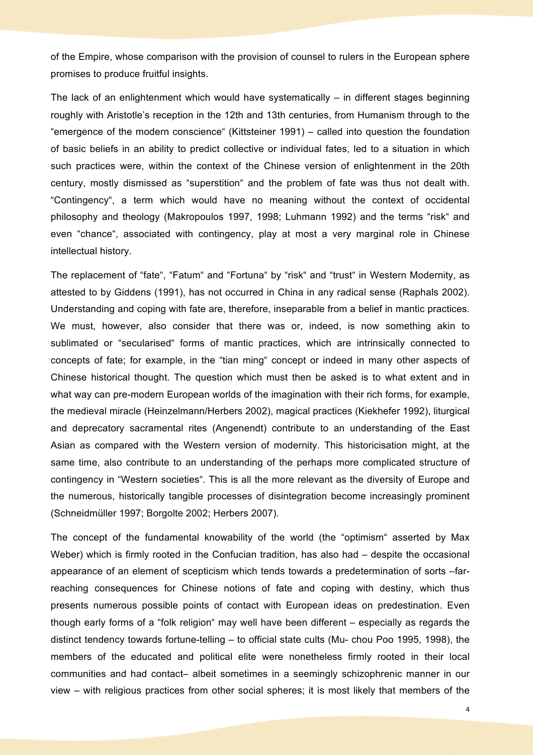of the Empire, whose comparison with the provision of counsel to rulers in the European sphere promises to produce fruitful insights.

The lack of an enlightenment which would have systematically – in different stages beginning roughly with Aristotle's reception in the 12th and 13th centuries, from Humanism through to the "emergence of the modern conscience" (Kittsteiner 1991) – called into question the foundation of basic beliefs in an ability to predict collective or individual fates, led to a situation in which such practices were, within the context of the Chinese version of enlightenment in the 20th century, mostly dismissed as "superstition" and the problem of fate was thus not dealt with. "Contingency", a term which would have no meaning without the context of occidental philosophy and theology (Makropoulos 1997, 1998; Luhmann 1992) and the terms "risk" and even "chance", associated with contingency, play at most a very marginal role in Chinese intellectual history.

The replacement of "fate", "Fatum" and "Fortuna" by "risk" and "trust" in Western Modernity, as attested to by Giddens (1991), has not occurred in China in any radical sense (Raphals 2002). Understanding and coping with fate are, therefore, inseparable from a belief in mantic practices. We must, however, also consider that there was or, indeed, is now something akin to sublimated or "secularised" forms of mantic practices, which are intrinsically connected to concepts of fate; for example, in the "tian ming" concept or indeed in many other aspects of Chinese historical thought. The question which must then be asked is to what extent and in what way can pre-modern European worlds of the imagination with their rich forms, for example, the medieval miracle (Heinzelmann/Herbers 2002), magical practices (Kiekhefer 1992), liturgical and deprecatory sacramental rites (Angenendt) contribute to an understanding of the East Asian as compared with the Western version of modernity. This historicisation might, at the same time, also contribute to an understanding of the perhaps more complicated structure of contingency in "Western societies". This is all the more relevant as the diversity of Europe and the numerous, historically tangible processes of disintegration become increasingly prominent (Schneidmüller 1997; Borgolte 2002; Herbers 2007).

The concept of the fundamental knowability of the world (the "optimism" asserted by Max Weber) which is firmly rooted in the Confucian tradition, has also had – despite the occasional appearance of an element of scepticism which tends towards a predetermination of sorts –farreaching consequences for Chinese notions of fate and coping with destiny, which thus presents numerous possible points of contact with European ideas on predestination. Even though early forms of a "folk religion" may well have been different – especially as regards the distinct tendency towards fortune-telling – to official state cults (Mu- chou Poo 1995, 1998), the members of the educated and political elite were nonetheless firmly rooted in their local communities and had contact– albeit sometimes in a seemingly schizophrenic manner in our view – with religious practices from other social spheres; it is most likely that members of the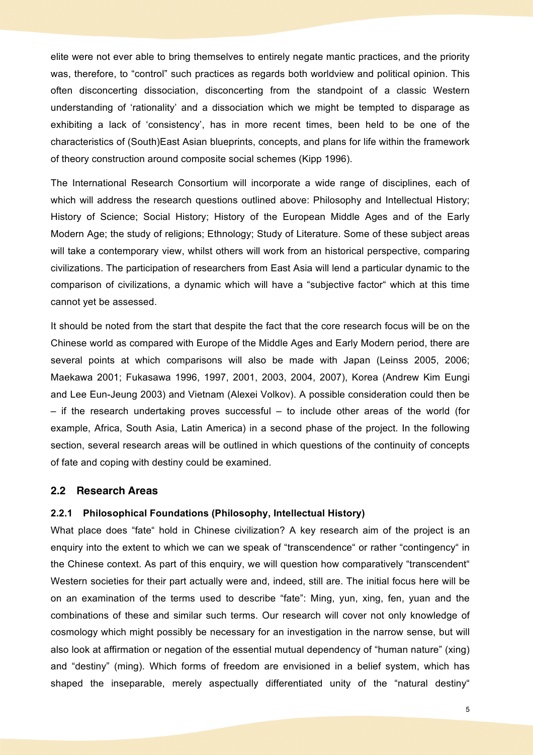elite were not ever able to bring themselves to entirely negate mantic practices, and the priority was, therefore, to "control" such practices as regards both worldview and political opinion. This often disconcerting dissociation, disconcerting from the standpoint of a classic Western understanding of 'rationality' and a dissociation which we might be tempted to disparage as exhibiting a lack of 'consistency', has in more recent times, been held to be one of the characteristics of (South)East Asian blueprints, concepts, and plans for life within the framework of theory construction around composite social schemes (Kipp 1996).

The International Research Consortium will incorporate a wide range of disciplines, each of which will address the research questions outlined above: Philosophy and Intellectual History; History of Science; Social History; History of the European Middle Ages and of the Early Modern Age; the study of religions; Ethnology; Study of Literature. Some of these subject areas will take a contemporary view, whilst others will work from an historical perspective, comparing civilizations. The participation of researchers from East Asia will lend a particular dynamic to the comparison of civilizations, a dynamic which will have a "subjective factor" which at this time cannot yet be assessed.

It should be noted from the start that despite the fact that the core research focus will be on the Chinese world as compared with Europe of the Middle Ages and Early Modern period, there are several points at which comparisons will also be made with Japan (Leinss 2005, 2006; Maekawa 2001; Fukasawa 1996, 1997, 2001, 2003, 2004, 2007), Korea (Andrew Kim Eungi and Lee Eun-Jeung 2003) and Vietnam (Alexei Volkov). A possible consideration could then be – if the research undertaking proves successful – to include other areas of the world (for example, Africa, South Asia, Latin America) in a second phase of the project. In the following section, several research areas will be outlined in which questions of the continuity of concepts of fate and coping with destiny could be examined.

#### **2.2 Research Areas**

### **2.2.1 Philosophical Foundations (Philosophy, Intellectual History)**

What place does "fate" hold in Chinese civilization? A key research aim of the project is an enquiry into the extent to which we can we speak of "transcendence" or rather "contingency" in the Chinese context. As part of this enquiry, we will question how comparatively "transcendent" Western societies for their part actually were and, indeed, still are. The initial focus here will be on an examination of the terms used to describe "fate": Ming, yun, xing, fen, yuan and the combinations of these and similar such terms. Our research will cover not only knowledge of cosmology which might possibly be necessary for an investigation in the narrow sense, but will also look at affirmation or negation of the essential mutual dependency of "human nature" (xing) and "destiny" (ming). Which forms of freedom are envisioned in a belief system, which has shaped the inseparable, merely aspectually differentiated unity of the "natural destiny"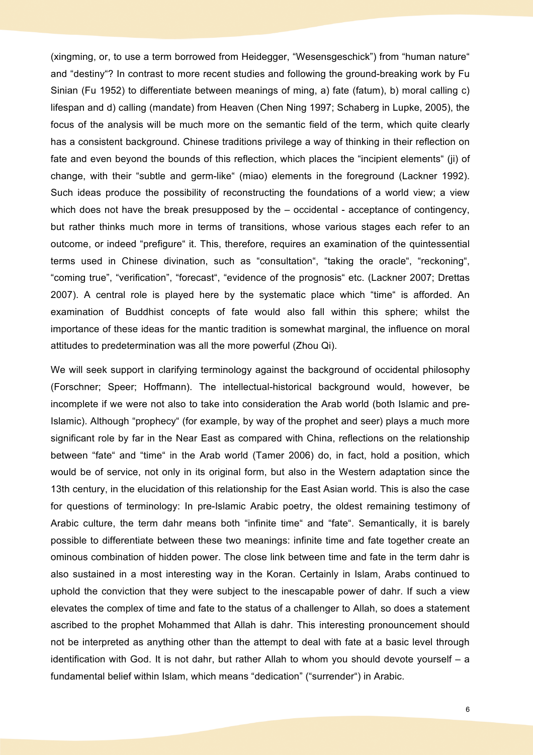(xingming, or, to use a term borrowed from Heidegger, "Wesensgeschick") from "human nature" and "destiny"? In contrast to more recent studies and following the ground-breaking work by Fu Sinian (Fu 1952) to differentiate between meanings of ming, a) fate (fatum), b) moral calling c) lifespan and d) calling (mandate) from Heaven (Chen Ning 1997; Schaberg in Lupke, 2005), the focus of the analysis will be much more on the semantic field of the term, which quite clearly has a consistent background. Chinese traditions privilege a way of thinking in their reflection on fate and even beyond the bounds of this reflection, which places the "incipient elements" (ii) of change, with their "subtle and germ-like" (miao) elements in the foreground (Lackner 1992). Such ideas produce the possibility of reconstructing the foundations of a world view; a view which does not have the break presupposed by the – occidental - acceptance of contingency, but rather thinks much more in terms of transitions, whose various stages each refer to an outcome, or indeed "prefigure" it. This, therefore, requires an examination of the quintessential terms used in Chinese divination, such as "consultation", "taking the oracle", "reckoning", "coming true", "verification", "forecast", "evidence of the prognosis" etc. (Lackner 2007; Drettas 2007). A central role is played here by the systematic place which "time" is afforded. An examination of Buddhist concepts of fate would also fall within this sphere; whilst the importance of these ideas for the mantic tradition is somewhat marginal, the influence on moral attitudes to predetermination was all the more powerful (Zhou Qi).

We will seek support in clarifying terminology against the background of occidental philosophy (Forschner; Speer; Hoffmann). The intellectual-historical background would, however, be incomplete if we were not also to take into consideration the Arab world (both Islamic and pre-Islamic). Although "prophecy" (for example, by way of the prophet and seer) plays a much more significant role by far in the Near East as compared with China, reflections on the relationship between "fate" and "time" in the Arab world (Tamer 2006) do, in fact, hold a position, which would be of service, not only in its original form, but also in the Western adaptation since the 13th century, in the elucidation of this relationship for the East Asian world. This is also the case for questions of terminology: In pre-Islamic Arabic poetry, the oldest remaining testimony of Arabic culture, the term dahr means both "infinite time" and "fate". Semantically, it is barely possible to differentiate between these two meanings: infinite time and fate together create an ominous combination of hidden power. The close link between time and fate in the term dahr is also sustained in a most interesting way in the Koran. Certainly in Islam, Arabs continued to uphold the conviction that they were subject to the inescapable power of dahr. If such a view elevates the complex of time and fate to the status of a challenger to Allah, so does a statement ascribed to the prophet Mohammed that Allah is dahr. This interesting pronouncement should not be interpreted as anything other than the attempt to deal with fate at a basic level through identification with God. It is not dahr, but rather Allah to whom you should devote yourself – a fundamental belief within Islam, which means "dedication" ("surrender") in Arabic.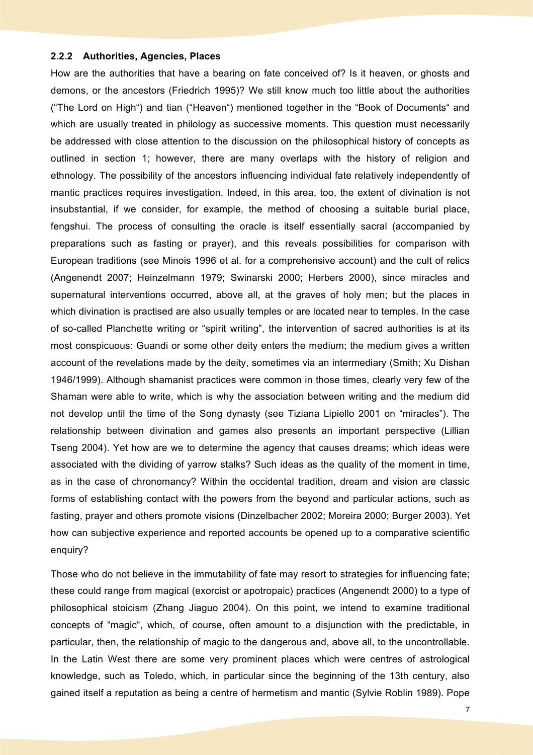#### **2.2.2 Authorities, Agencies, Places**

How are the authorities that have a bearing on fate conceived of? Is it heaven, or ghosts and demons, or the ancestors (Friedrich 1995)? We still know much too little about the authorities ("The Lord on High") and tian ("Heaven") mentioned together in the "Book of Documents" and which are usually treated in philology as successive moments. This question must necessarily be addressed with close attention to the discussion on the philosophical history of concepts as outlined in section 1; however, there are many overlaps with the history of religion and ethnology. The possibility of the ancestors influencing individual fate relatively independently of mantic practices requires investigation. Indeed, in this area, too, the extent of divination is not insubstantial, if we consider, for example, the method of choosing a suitable burial place, fengshui. The process of consulting the oracle is itself essentially sacral (accompanied by preparations such as fasting or prayer), and this reveals possibilities for comparison with European traditions (see Minois 1996 et al. for a comprehensive account) and the cult of relics (Angenendt 2007; Heinzelmann 1979; Swinarski 2000; Herbers 2000), since miracles and supernatural interventions occurred, above all, at the graves of holy men; but the places in which divination is practised are also usually temples or are located near to temples. In the case of so-called Planchette writing or "spirit writing", the intervention of sacred authorities is at its most conspicuous: Guandi or some other deity enters the medium; the medium gives a written account of the revelations made by the deity, sometimes via an intermediary (Smith; Xu Dishan 1946/1999). Although shamanist practices were common in those times, clearly very few of the Shaman were able to write, which is why the association between writing and the medium did not develop until the time of the Song dynasty (see Tiziana Lipiello 2001 on "miracles"). The relationship between divination and games also presents an important perspective (Lillian Tseng 2004). Yet how are we to determine the agency that causes dreams; which ideas were associated with the dividing of yarrow stalks? Such ideas as the quality of the moment in time, as in the case of chronomancy? Within the occidental tradition, dream and vision are classic forms of establishing contact with the powers from the beyond and particular actions, such as fasting, prayer and others promote visions (Dinzelbacher 2002; Moreira 2000; Burger 2003). Yet how can subjective experience and reported accounts be opened up to a comparative scientific enquiry?

Those who do not believe in the immutability of fate may resort to strategies for influencing fate; these could range from magical (exorcist or apotropaic) practices (Angenendt 2000) to a type of philosophical stoicism (Zhang Jiaguo 2004). On this point, we intend to examine traditional concepts of "magic", which, of course, often amount to a disjunction with the predictable, in particular, then, the relationship of magic to the dangerous and, above all, to the uncontrollable. In the Latin West there are some very prominent places which were centres of astrological knowledge, such as Toledo, which, in particular since the beginning of the 13th century, also gained itself a reputation as being a centre of hermetism and mantic (Sylvie Roblin 1989). Pope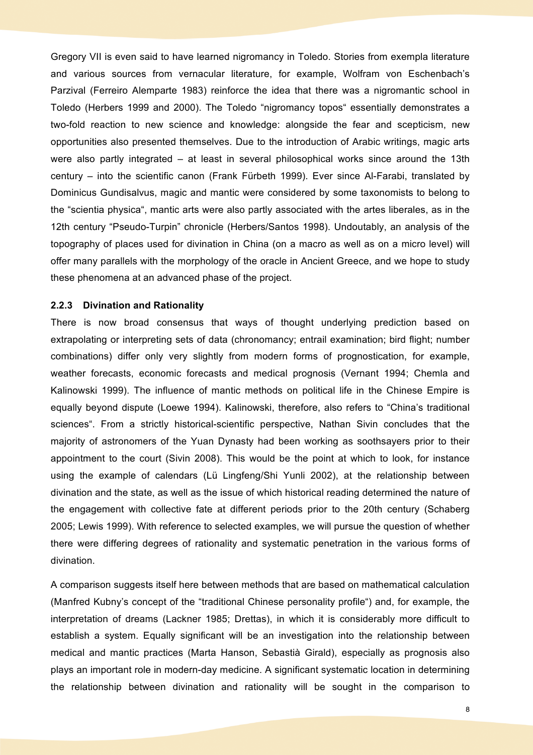Gregory VII is even said to have learned nigromancy in Toledo. Stories from exempla literature and various sources from vernacular literature, for example, Wolfram von Eschenbach's Parzival (Ferreiro Alemparte 1983) reinforce the idea that there was a nigromantic school in Toledo (Herbers 1999 and 2000). The Toledo "nigromancy topos" essentially demonstrates a two-fold reaction to new science and knowledge: alongside the fear and scepticism, new opportunities also presented themselves. Due to the introduction of Arabic writings, magic arts were also partly integrated – at least in several philosophical works since around the 13th century – into the scientific canon (Frank Fürbeth 1999). Ever since Al-Farabi, translated by Dominicus Gundisalvus, magic and mantic were considered by some taxonomists to belong to the "scientia physica", mantic arts were also partly associated with the artes liberales, as in the 12th century "Pseudo-Turpin" chronicle (Herbers/Santos 1998). Undoutably, an analysis of the topography of places used for divination in China (on a macro as well as on a micro level) will offer many parallels with the morphology of the oracle in Ancient Greece, and we hope to study these phenomena at an advanced phase of the project.

#### **2.2.3 Divination and Rationality**

There is now broad consensus that ways of thought underlying prediction based on extrapolating or interpreting sets of data (chronomancy; entrail examination; bird flight; number combinations) differ only very slightly from modern forms of prognostication, for example, weather forecasts, economic forecasts and medical prognosis (Vernant 1994; Chemla and Kalinowski 1999). The influence of mantic methods on political life in the Chinese Empire is equally beyond dispute (Loewe 1994). Kalinowski, therefore, also refers to "China's traditional sciences". From a strictly historical-scientific perspective, Nathan Sivin concludes that the majority of astronomers of the Yuan Dynasty had been working as soothsayers prior to their appointment to the court (Sivin 2008). This would be the point at which to look, for instance using the example of calendars (Lü Lingfeng/Shi Yunli 2002), at the relationship between divination and the state, as well as the issue of which historical reading determined the nature of the engagement with collective fate at different periods prior to the 20th century (Schaberg 2005; Lewis 1999). With reference to selected examples, we will pursue the question of whether there were differing degrees of rationality and systematic penetration in the various forms of divination.

A comparison suggests itself here between methods that are based on mathematical calculation (Manfred Kubny's concept of the "traditional Chinese personality profile") and, for example, the interpretation of dreams (Lackner 1985; Drettas), in which it is considerably more difficult to establish a system. Equally significant will be an investigation into the relationship between medical and mantic practices (Marta Hanson, Sebastià Girald), especially as prognosis also plays an important role in modern-day medicine. A significant systematic location in determining the relationship between divination and rationality will be sought in the comparison to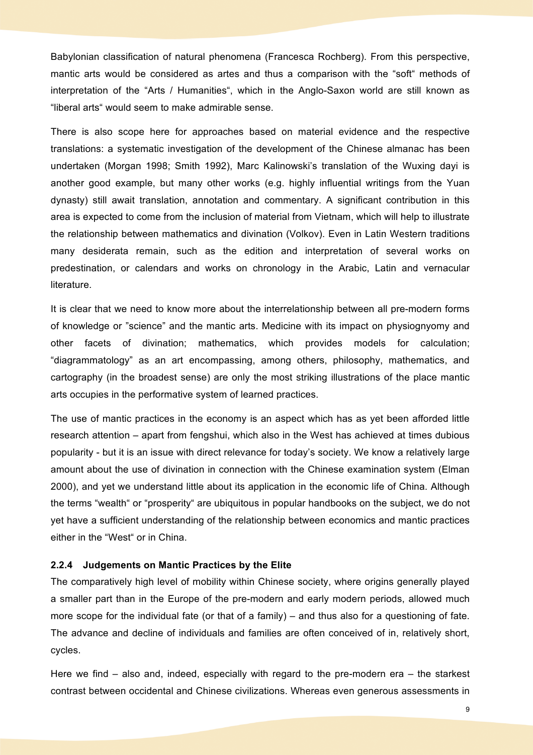Babylonian classification of natural phenomena (Francesca Rochberg). From this perspective, mantic arts would be considered as artes and thus a comparison with the "soft" methods of interpretation of the "Arts / Humanities", which in the Anglo-Saxon world are still known as "liberal arts" would seem to make admirable sense.

There is also scope here for approaches based on material evidence and the respective translations: a systematic investigation of the development of the Chinese almanac has been undertaken (Morgan 1998; Smith 1992), Marc Kalinowski's translation of the Wuxing dayi is another good example, but many other works (e.g. highly influential writings from the Yuan dynasty) still await translation, annotation and commentary. A significant contribution in this area is expected to come from the inclusion of material from Vietnam, which will help to illustrate the relationship between mathematics and divination (Volkov). Even in Latin Western traditions many desiderata remain, such as the edition and interpretation of several works on predestination, or calendars and works on chronology in the Arabic, Latin and vernacular literature.

It is clear that we need to know more about the interrelationship between all pre-modern forms of knowledge or "science" and the mantic arts. Medicine with its impact on physiognyomy and other facets of divination; mathematics, which provides models for calculation; "diagrammatology" as an art encompassing, among others, philosophy, mathematics, and cartography (in the broadest sense) are only the most striking illustrations of the place mantic arts occupies in the performative system of learned practices.

The use of mantic practices in the economy is an aspect which has as yet been afforded little research attention – apart from fengshui, which also in the West has achieved at times dubious popularity - but it is an issue with direct relevance for today's society. We know a relatively large amount about the use of divination in connection with the Chinese examination system (Elman 2000), and yet we understand little about its application in the economic life of China. Although the terms "wealth" or "prosperity" are ubiquitous in popular handbooks on the subject, we do not yet have a sufficient understanding of the relationship between economics and mantic practices either in the "West" or in China.

#### **2.2.4 Judgements on Mantic Practices by the Elite**

The comparatively high level of mobility within Chinese society, where origins generally played a smaller part than in the Europe of the pre-modern and early modern periods, allowed much more scope for the individual fate (or that of a family) – and thus also for a questioning of fate. The advance and decline of individuals and families are often conceived of in, relatively short, cycles.

Here we find – also and, indeed, especially with regard to the pre-modern era – the starkest contrast between occidental and Chinese civilizations. Whereas even generous assessments in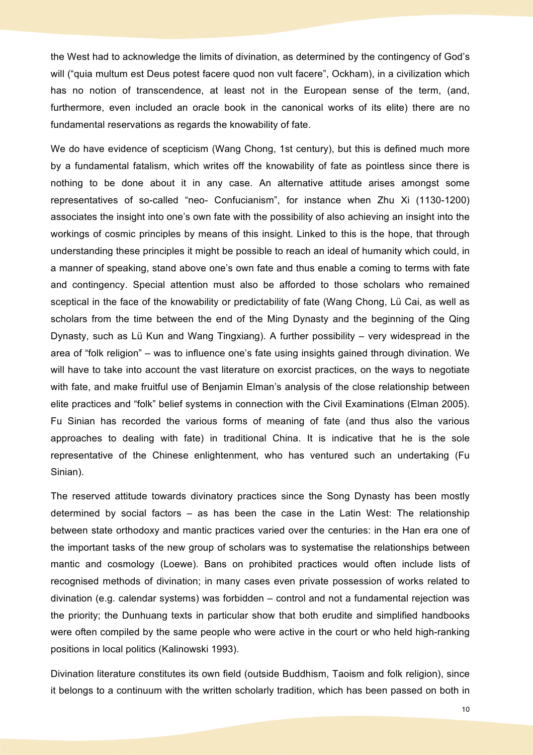the West had to acknowledge the limits of divination, as determined by the contingency of God's will ("quia multum est Deus potest facere quod non vult facere", Ockham), in a civilization which has no notion of transcendence, at least not in the European sense of the term, (and, furthermore, even included an oracle book in the canonical works of its elite) there are no fundamental reservations as regards the knowability of fate.

We do have evidence of scepticism (Wang Chong, 1st century), but this is defined much more by a fundamental fatalism, which writes off the knowability of fate as pointless since there is nothing to be done about it in any case. An alternative attitude arises amongst some representatives of so-called "neo- Confucianism", for instance when Zhu Xi (1130-1200) associates the insight into one's own fate with the possibility of also achieving an insight into the workings of cosmic principles by means of this insight. Linked to this is the hope, that through understanding these principles it might be possible to reach an ideal of humanity which could, in a manner of speaking, stand above one's own fate and thus enable a coming to terms with fate and contingency. Special attention must also be afforded to those scholars who remained sceptical in the face of the knowability or predictability of fate (Wang Chong, Lü Cai, as well as scholars from the time between the end of the Ming Dynasty and the beginning of the Qing Dynasty, such as Lü Kun and Wang Tingxiang). A further possibility – very widespread in the area of "folk religion" – was to influence one's fate using insights gained through divination. We will have to take into account the vast literature on exorcist practices, on the ways to negotiate with fate, and make fruitful use of Benjamin Elman's analysis of the close relationship between elite practices and "folk" belief systems in connection with the Civil Examinations (Elman 2005). Fu Sinian has recorded the various forms of meaning of fate (and thus also the various approaches to dealing with fate) in traditional China. It is indicative that he is the sole representative of the Chinese enlightenment, who has ventured such an undertaking (Fu Sinian).

The reserved attitude towards divinatory practices since the Song Dynasty has been mostly determined by social factors – as has been the case in the Latin West: The relationship between state orthodoxy and mantic practices varied over the centuries: in the Han era one of the important tasks of the new group of scholars was to systematise the relationships between mantic and cosmology (Loewe). Bans on prohibited practices would often include lists of recognised methods of divination; in many cases even private possession of works related to divination (e.g. calendar systems) was forbidden – control and not a fundamental rejection was the priority; the Dunhuang texts in particular show that both erudite and simplified handbooks were often compiled by the same people who were active in the court or who held high-ranking positions in local politics (Kalinowski 1993).

Divination literature constitutes its own field (outside Buddhism, Taoism and folk religion), since it belongs to a continuum with the written scholarly tradition, which has been passed on both in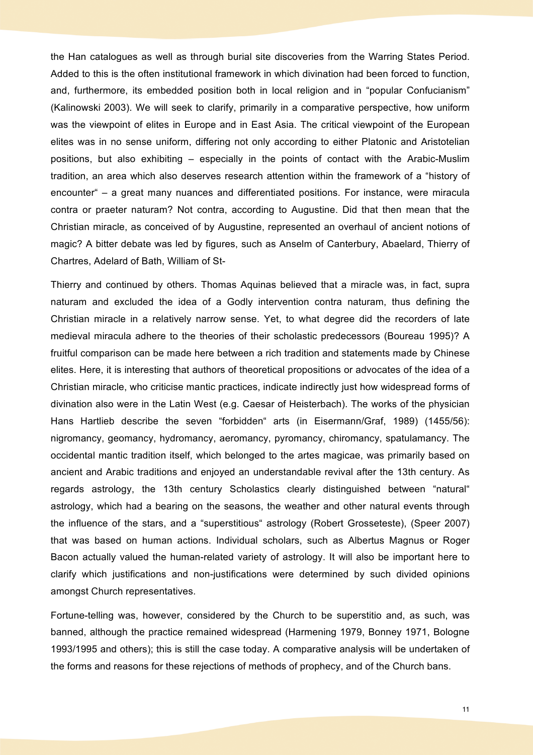the Han catalogues as well as through burial site discoveries from the Warring States Period. Added to this is the often institutional framework in which divination had been forced to function, and, furthermore, its embedded position both in local religion and in "popular Confucianism" (Kalinowski 2003). We will seek to clarify, primarily in a comparative perspective, how uniform was the viewpoint of elites in Europe and in East Asia. The critical viewpoint of the European elites was in no sense uniform, differing not only according to either Platonic and Aristotelian positions, but also exhibiting – especially in the points of contact with the Arabic-Muslim tradition, an area which also deserves research attention within the framework of a "history of encounter" – a great many nuances and differentiated positions. For instance, were miracula contra or praeter naturam? Not contra, according to Augustine. Did that then mean that the Christian miracle, as conceived of by Augustine, represented an overhaul of ancient notions of magic? A bitter debate was led by figures, such as Anselm of Canterbury, Abaelard, Thierry of Chartres, Adelard of Bath, William of St-

Thierry and continued by others. Thomas Aquinas believed that a miracle was, in fact, supra naturam and excluded the idea of a Godly intervention contra naturam, thus defining the Christian miracle in a relatively narrow sense. Yet, to what degree did the recorders of late medieval miracula adhere to the theories of their scholastic predecessors (Boureau 1995)? A fruitful comparison can be made here between a rich tradition and statements made by Chinese elites. Here, it is interesting that authors of theoretical propositions or advocates of the idea of a Christian miracle, who criticise mantic practices, indicate indirectly just how widespread forms of divination also were in the Latin West (e.g. Caesar of Heisterbach). The works of the physician Hans Hartlieb describe the seven "forbidden" arts (in Eisermann/Graf, 1989) (1455/56): nigromancy, geomancy, hydromancy, aeromancy, pyromancy, chiromancy, spatulamancy. The occidental mantic tradition itself, which belonged to the artes magicae, was primarily based on ancient and Arabic traditions and enjoyed an understandable revival after the 13th century. As regards astrology, the 13th century Scholastics clearly distinguished between "natural" astrology, which had a bearing on the seasons, the weather and other natural events through the influence of the stars, and a "superstitious" astrology (Robert Grosseteste), (Speer 2007) that was based on human actions. Individual scholars, such as Albertus Magnus or Roger Bacon actually valued the human-related variety of astrology. It will also be important here to clarify which justifications and non-justifications were determined by such divided opinions amongst Church representatives.

Fortune-telling was, however, considered by the Church to be superstitio and, as such, was banned, although the practice remained widespread (Harmening 1979, Bonney 1971, Bologne 1993/1995 and others); this is still the case today. A comparative analysis will be undertaken of the forms and reasons for these rejections of methods of prophecy, and of the Church bans.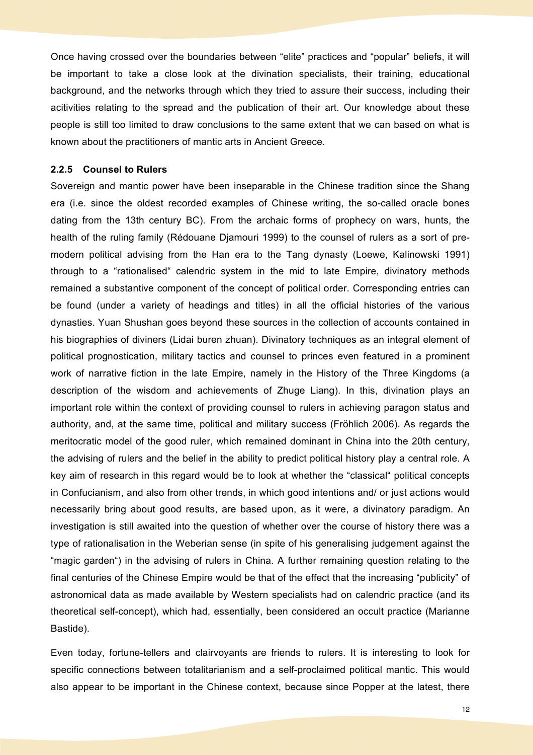Once having crossed over the boundaries between "elite" practices and "popular" beliefs, it will be important to take a close look at the divination specialists, their training, educational background, and the networks through which they tried to assure their success, including their acitivities relating to the spread and the publication of their art. Our knowledge about these people is still too limited to draw conclusions to the same extent that we can based on what is known about the practitioners of mantic arts in Ancient Greece.

#### **2.2.5 Counsel to Rulers**

Sovereign and mantic power have been inseparable in the Chinese tradition since the Shang era (i.e. since the oldest recorded examples of Chinese writing, the so-called oracle bones dating from the 13th century BC). From the archaic forms of prophecy on wars, hunts, the health of the ruling family (Rédouane Diamouri 1999) to the counsel of rulers as a sort of premodern political advising from the Han era to the Tang dynasty (Loewe, Kalinowski 1991) through to a "rationalised" calendric system in the mid to late Empire, divinatory methods remained a substantive component of the concept of political order. Corresponding entries can be found (under a variety of headings and titles) in all the official histories of the various dynasties. Yuan Shushan goes beyond these sources in the collection of accounts contained in his biographies of diviners (Lidai buren zhuan). Divinatory techniques as an integral element of political prognostication, military tactics and counsel to princes even featured in a prominent work of narrative fiction in the late Empire, namely in the History of the Three Kingdoms (a description of the wisdom and achievements of Zhuge Liang). In this, divination plays an important role within the context of providing counsel to rulers in achieving paragon status and authority, and, at the same time, political and military success (Fröhlich 2006). As regards the meritocratic model of the good ruler, which remained dominant in China into the 20th century, the advising of rulers and the belief in the ability to predict political history play a central role. A key aim of research in this regard would be to look at whether the "classical" political concepts in Confucianism, and also from other trends, in which good intentions and/ or just actions would necessarily bring about good results, are based upon, as it were, a divinatory paradigm. An investigation is still awaited into the question of whether over the course of history there was a type of rationalisation in the Weberian sense (in spite of his generalising judgement against the "magic garden") in the advising of rulers in China. A further remaining question relating to the final centuries of the Chinese Empire would be that of the effect that the increasing "publicity" of astronomical data as made available by Western specialists had on calendric practice (and its theoretical self-concept), which had, essentially, been considered an occult practice (Marianne Bastide).

Even today, fortune-tellers and clairvoyants are friends to rulers. It is interesting to look for specific connections between totalitarianism and a self-proclaimed political mantic. This would also appear to be important in the Chinese context, because since Popper at the latest, there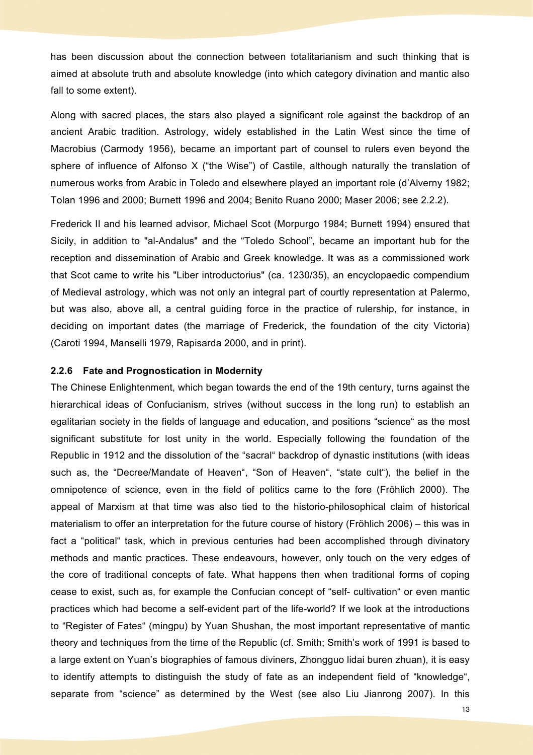has been discussion about the connection between totalitarianism and such thinking that is aimed at absolute truth and absolute knowledge (into which category divination and mantic also fall to some extent).

Along with sacred places, the stars also played a significant role against the backdrop of an ancient Arabic tradition. Astrology, widely established in the Latin West since the time of Macrobius (Carmody 1956), became an important part of counsel to rulers even beyond the sphere of influence of Alfonso X ("the Wise") of Castile, although naturally the translation of numerous works from Arabic in Toledo and elsewhere played an important role (d'Alverny 1982; Tolan 1996 and 2000; Burnett 1996 and 2004; Benito Ruano 2000; Maser 2006; see 2.2.2).

Frederick II and his learned advisor, Michael Scot (Morpurgo 1984; Burnett 1994) ensured that Sicily, in addition to "al-Andalus" and the "Toledo School", became an important hub for the reception and dissemination of Arabic and Greek knowledge. It was as a commissioned work that Scot came to write his "Liber introductorius" (ca. 1230/35), an encyclopaedic compendium of Medieval astrology, which was not only an integral part of courtly representation at Palermo, but was also, above all, a central guiding force in the practice of rulership, for instance, in deciding on important dates (the marriage of Frederick, the foundation of the city Victoria) (Caroti 1994, Manselli 1979, Rapisarda 2000, and in print).

#### **2.2.6 Fate and Prognostication in Modernity**

The Chinese Enlightenment, which began towards the end of the 19th century, turns against the hierarchical ideas of Confucianism, strives (without success in the long run) to establish an egalitarian society in the fields of language and education, and positions "science" as the most significant substitute for lost unity in the world. Especially following the foundation of the Republic in 1912 and the dissolution of the "sacral" backdrop of dynastic institutions (with ideas such as, the "Decree/Mandate of Heaven", "Son of Heaven", "state cult"), the belief in the omnipotence of science, even in the field of politics came to the fore (Fröhlich 2000). The appeal of Marxism at that time was also tied to the historio-philosophical claim of historical materialism to offer an interpretation for the future course of history (Fröhlich 2006) – this was in fact a "political" task, which in previous centuries had been accomplished through divinatory methods and mantic practices. These endeavours, however, only touch on the very edges of the core of traditional concepts of fate. What happens then when traditional forms of coping cease to exist, such as, for example the Confucian concept of "self- cultivation" or even mantic practices which had become a self-evident part of the life-world? If we look at the introductions to "Register of Fates" (mingpu) by Yuan Shushan, the most important representative of mantic theory and techniques from the time of the Republic (cf. Smith; Smith's work of 1991 is based to a large extent on Yuan's biographies of famous diviners, Zhongguo lidai buren zhuan), it is easy to identify attempts to distinguish the study of fate as an independent field of "knowledge", separate from "science" as determined by the West (see also Liu Jianrong 2007). In this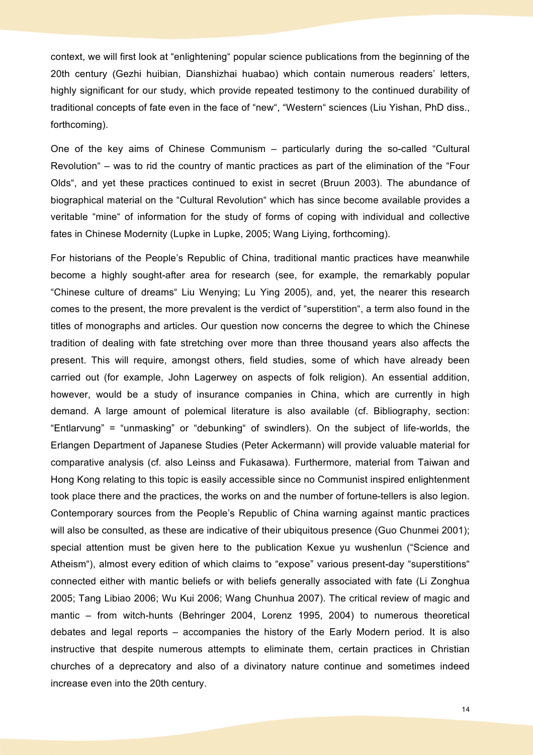context, we will first look at "enlightening" popular science publications from the beginning of the 20th century (Gezhi huibian, Dianshizhai huabao) which contain numerous readers' letters, highly significant for our study, which provide repeated testimony to the continued durability of traditional concepts of fate even in the face of "new", "Western" sciences (Liu Yishan, PhD diss., forthcoming).

One of the key aims of Chinese Communism – particularly during the so-called "Cultural Revolution" – was to rid the country of mantic practices as part of the elimination of the "Four Olds", and yet these practices continued to exist in secret (Bruun 2003). The abundance of biographical material on the "Cultural Revolution" which has since become available provides a veritable "mine" of information for the study of forms of coping with individual and collective fates in Chinese Modernity (Lupke in Lupke, 2005; Wang Liying, forthcoming).

For historians of the People's Republic of China, traditional mantic practices have meanwhile become a highly sought-after area for research (see, for example, the remarkably popular "Chinese culture of dreams" Liu Wenying; Lu Ying 2005), and, yet, the nearer this research comes to the present, the more prevalent is the verdict of "superstition", a term also found in the titles of monographs and articles. Our question now concerns the degree to which the Chinese tradition of dealing with fate stretching over more than three thousand years also affects the present. This will require, amongst others, field studies, some of which have already been carried out (for example, John Lagerwey on aspects of folk religion). An essential addition, however, would be a study of insurance companies in China, which are currently in high demand. A large amount of polemical literature is also available (cf. Bibliography, section: "Entlarvung" = "unmasking" or "debunking" of swindlers). On the subject of life-worlds, the Erlangen Department of Japanese Studies (Peter Ackermann) will provide valuable material for comparative analysis (cf. also Leinss and Fukasawa). Furthermore, material from Taiwan and Hong Kong relating to this topic is easily accessible since no Communist inspired enlightenment took place there and the practices, the works on and the number of fortune-tellers is also legion. Contemporary sources from the People's Republic of China warning against mantic practices will also be consulted, as these are indicative of their ubiquitous presence (Guo Chunmei 2001); special attention must be given here to the publication Kexue yu wushenlun ("Science and Atheism"), almost every edition of which claims to "expose" various present-day "superstitions" connected either with mantic beliefs or with beliefs generally associated with fate (Li Zonghua 2005; Tang Libiao 2006; Wu Kui 2006; Wang Chunhua 2007). The critical review of magic and mantic – from witch-hunts (Behringer 2004, Lorenz 1995, 2004) to numerous theoretical debates and legal reports – accompanies the history of the Early Modern period. It is also instructive that despite numerous attempts to eliminate them, certain practices in Christian churches of a deprecatory and also of a divinatory nature continue and sometimes indeed increase even into the 20th century.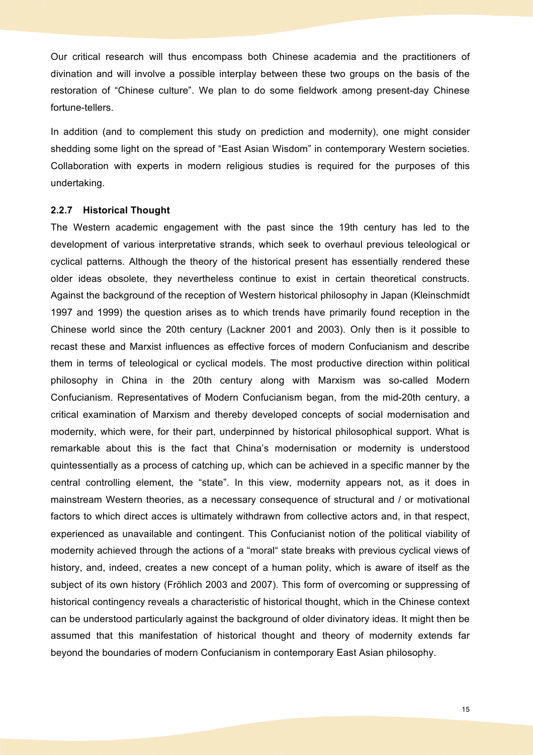Our critical research will thus encompass both Chinese academia and the practitioners of divination and will involve a possible interplay between these two groups on the basis of the restoration of "Chinese culture". We plan to do some fieldwork among present-day Chinese fortune-tellers.

In addition (and to complement this study on prediction and modernity), one might consider shedding some light on the spread of "East Asian Wisdom" in contemporary Western societies. Collaboration with experts in modern religious studies is required for the purposes of this undertaking.

#### **2.2.7 Historical Thought**

The Western academic engagement with the past since the 19th century has led to the development of various interpretative strands, which seek to overhaul previous teleological or cyclical patterns. Although the theory of the historical present has essentially rendered these older ideas obsolete, they nevertheless continue to exist in certain theoretical constructs. Against the background of the reception of Western historical philosophy in Japan (Kleinschmidt 1997 and 1999) the question arises as to which trends have primarily found reception in the Chinese world since the 20th century (Lackner 2001 and 2003). Only then is it possible to recast these and Marxist influences as effective forces of modern Confucianism and describe them in terms of teleological or cyclical models. The most productive direction within political philosophy in China in the 20th century along with Marxism was so-called Modern Confucianism. Representatives of Modern Confucianism began, from the mid-20th century, a critical examination of Marxism and thereby developed concepts of social modernisation and modernity, which were, for their part, underpinned by historical philosophical support. What is remarkable about this is the fact that China's modernisation or modernity is understood quintessentially as a process of catching up, which can be achieved in a specific manner by the central controlling element, the "state". In this view, modernity appears not, as it does in mainstream Western theories, as a necessary consequence of structural and / or motivational factors to which direct acces is ultimately withdrawn from collective actors and, in that respect, experienced as unavailable and contingent. This Confucianist notion of the political viability of modernity achieved through the actions of a "moral" state breaks with previous cyclical views of history, and, indeed, creates a new concept of a human polity, which is aware of itself as the subject of its own history (Fröhlich 2003 and 2007). This form of overcoming or suppressing of historical contingency reveals a characteristic of historical thought, which in the Chinese context can be understood particularly against the background of older divinatory ideas. It might then be assumed that this manifestation of historical thought and theory of modernity extends far beyond the boundaries of modern Confucianism in contemporary East Asian philosophy.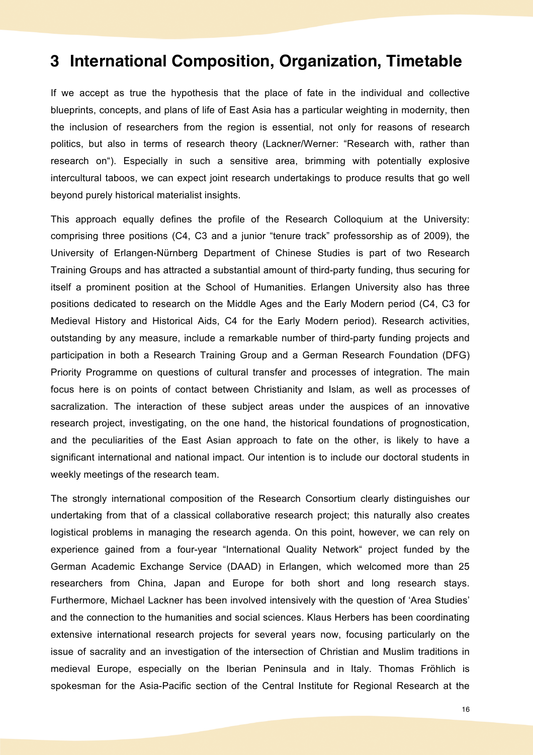## **3 International Composition, Organization, Timetable**

If we accept as true the hypothesis that the place of fate in the individual and collective blueprints, concepts, and plans of life of East Asia has a particular weighting in modernity, then the inclusion of researchers from the region is essential, not only for reasons of research politics, but also in terms of research theory (Lackner/Werner: "Research with, rather than research on"). Especially in such a sensitive area, brimming with potentially explosive intercultural taboos, we can expect joint research undertakings to produce results that go well beyond purely historical materialist insights.

This approach equally defines the profile of the Research Colloquium at the University: comprising three positions (C4, C3 and a junior "tenure track" professorship as of 2009), the University of Erlangen-Nürnberg Department of Chinese Studies is part of two Research Training Groups and has attracted a substantial amount of third-party funding, thus securing for itself a prominent position at the School of Humanities. Erlangen University also has three positions dedicated to research on the Middle Ages and the Early Modern period (C4, C3 for Medieval History and Historical Aids, C4 for the Early Modern period). Research activities, outstanding by any measure, include a remarkable number of third-party funding projects and participation in both a Research Training Group and a German Research Foundation (DFG) Priority Programme on questions of cultural transfer and processes of integration. The main focus here is on points of contact between Christianity and Islam, as well as processes of sacralization. The interaction of these subject areas under the auspices of an innovative research project, investigating, on the one hand, the historical foundations of prognostication, and the peculiarities of the East Asian approach to fate on the other, is likely to have a significant international and national impact. Our intention is to include our doctoral students in weekly meetings of the research team.

The strongly international composition of the Research Consortium clearly distinguishes our undertaking from that of a classical collaborative research project; this naturally also creates logistical problems in managing the research agenda. On this point, however, we can rely on experience gained from a four-year "International Quality Network" project funded by the German Academic Exchange Service (DAAD) in Erlangen, which welcomed more than 25 researchers from China, Japan and Europe for both short and long research stays. Furthermore, Michael Lackner has been involved intensively with the question of 'Area Studies' and the connection to the humanities and social sciences. Klaus Herbers has been coordinating extensive international research projects for several years now, focusing particularly on the issue of sacrality and an investigation of the intersection of Christian and Muslim traditions in medieval Europe, especially on the Iberian Peninsula and in Italy. Thomas Fröhlich is spokesman for the Asia-Pacific section of the Central Institute for Regional Research at the